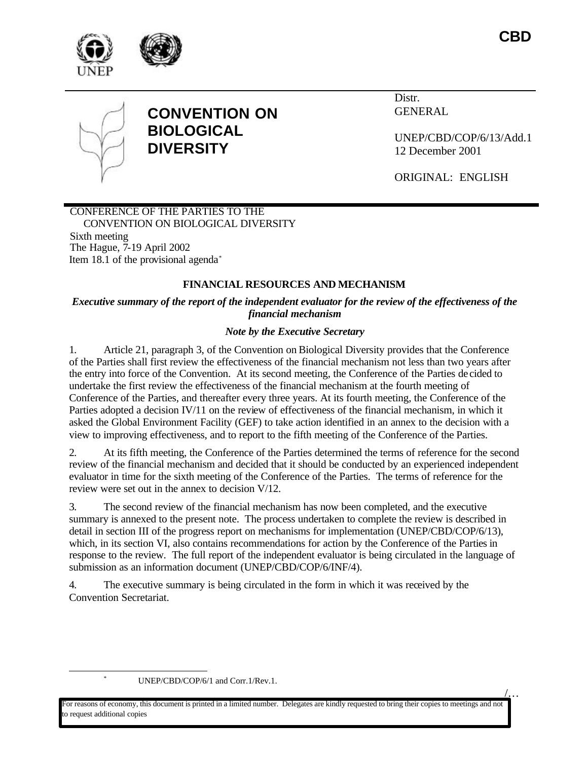





# **CONVENTION ON BIOLOGICAL DIVERSITY**

Distr. GENERAL

UNEP/CBD/COP/6/13/Add.1 12 December 2001

ORIGINAL: ENGLISH

#### CONFERENCE OF THE PARTIES TO THE CONVENTION ON BIOLOGICAL DIVERSITY Sixth meeting The Hague, 7-19 April 2002

Item 18.1 of the provisional agenda\*

## **FINANCIAL RESOURCES AND MECHANISM**

*Executive summary of the report of the independent evaluator for the review of the effectiveness of the financial mechanism*

## *Note by the Executive Secretary*

1. Article 21, paragraph 3, of the Convention on Biological Diversity provides that the Conference of the Parties shall first review the effectiveness of the financial mechanism not less than two years after the entry into force of the Convention. At its second meeting, the Conference of the Parties de cided to undertake the first review the effectiveness of the financial mechanism at the fourth meeting of Conference of the Parties, and thereafter every three years. At its fourth meeting, the Conference of the Parties adopted a decision IV/11 on the review of effectiveness of the financial mechanism, in which it asked the Global Environment Facility (GEF) to take action identified in an annex to the decision with a view to improving effectiveness, and to report to the fifth meeting of the Conference of the Parties.

2. At its fifth meeting, the Conference of the Parties determined the terms of reference for the second review of the financial mechanism and decided that it should be conducted by an experienced independent evaluator in time for the sixth meeting of the Conference of the Parties. The terms of reference for the review were set out in the annex to decision V/12.

3. The second review of the financial mechanism has now been completed, and the executive summary is annexed to the present note. The process undertaken to complete the review is described in detail in section III of the progress report on mechanisms for implementation (UNEP/CBD/COP/6/13), which, in its section VI, also contains recommendations for action by the Conference of the Parties in response to the review. The full report of the independent evaluator is being circulated in the language of submission as an information document (UNEP/CBD/COP/6/INF/4).

4. The executive summary is being circulated in the form in which it was received by the Convention Secretariat.

UNEP/CBD/COP/6/1 and Corr.1/Rev.1.

 $\overline{a}$ 

 $\underline{\mathcal{L}}$ ..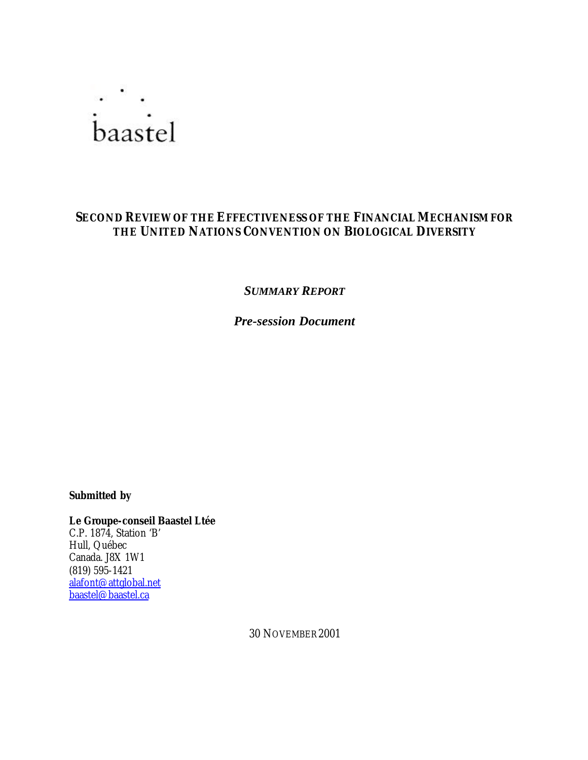

## **SECOND REVIEW OF THE EFFECTIVENESS OF THE FINANCIAL MECHANISM FOR THE UNITED NATIONS CONVENTION ON BIOLOGICAL DIVERSITY**

*SUMMARY REPORT*

*Pre-session Document*

*Submitted by*

**Le Groupe-conseil Baastel Ltée** C.P. 1874, Station 'B' Hull, Québec Canada. J8X 1W1 (819) 595-1421 alafont@attglobal.net baastel@baastel.ca

30 NOVEMBER 2001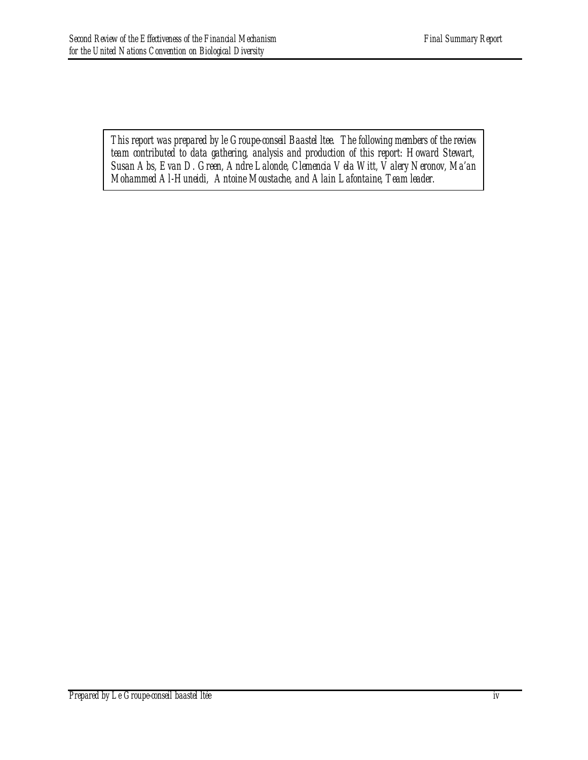*This report was prepared by le Groupe-conseil Baastel ltee. The following members of the review team contributed to data gathering, analysis and production of this report: Howard Stewart, Susan Abs, Evan D. Green, Andre Lalonde, Clemencia Vela Witt, Valery Neronov, Ma'an Mohammed Al-Huneidi, Antoine Moustache, and Alain Lafontaine, Team leader.*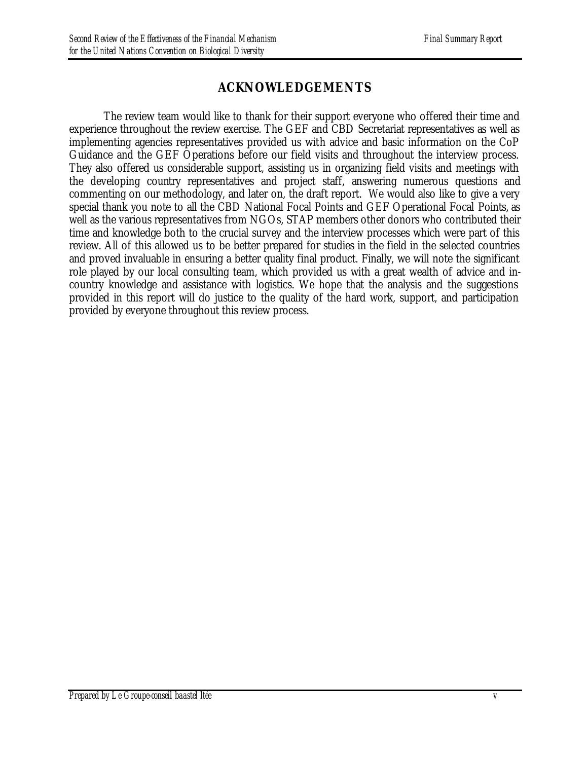# **ACKNOWLEDGEMENTS**

The review team would like to thank for their support everyone who offered their time and experience throughout the review exercise. The GEF and CBD Secretariat representatives as well as implementing agencies representatives provided us with advice and basic information on the CoP Guidance and the GEF Operations before our field visits and throughout the interview process. They also offered us considerable support, assisting us in organizing field visits and meetings with the developing country representatives and project staff, answering numerous questions and commenting on our methodology, and later on, the draft report. We would also like to give a very special thank you note to all the CBD National Focal Points and GEF Operational Focal Points, as well as the various representatives from NGOs, STAP members other donors who contributed their time and knowledge both to the crucial survey and the interview processes which were part of this review. All of this allowed us to be better prepared for studies in the field in the selected countries and proved invaluable in ensuring a better quality final product. Finally, we will note the significant role played by our local consulting team, which provided us with a great wealth of advice and incountry knowledge and assistance with logistics. We hope that the analysis and the suggestions provided in this report will do justice to the quality of the hard work, support, and participation provided by everyone throughout this review process.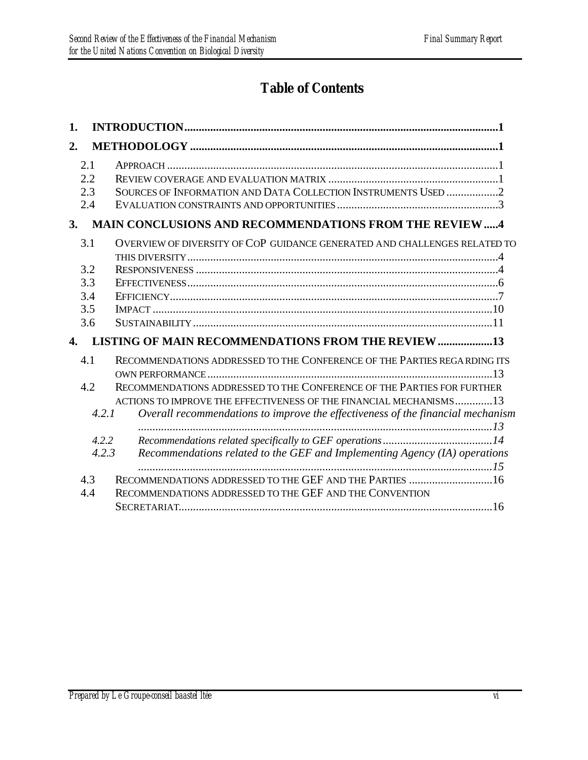# **Table of Contents**

| 1. |                                        |                                                                                                                                                                                                                          |
|----|----------------------------------------|--------------------------------------------------------------------------------------------------------------------------------------------------------------------------------------------------------------------------|
| 2. |                                        |                                                                                                                                                                                                                          |
|    | 2.1<br>2.2<br>2.3<br>2.4               | SOURCES OF INFORMATION AND DATA COLLECTION INSTRUMENTS USED 2                                                                                                                                                            |
| 3. |                                        | <b>MAIN CONCLUSIONS AND RECOMMENDATIONS FROM THE REVIEW4</b>                                                                                                                                                             |
|    | 3.1<br>3.2<br>3.3<br>3.4<br>3.5<br>3.6 | OVERVIEW OF DIVERSITY OF COP GUIDANCE GENERATED AND CHALLENGES RELATED TO                                                                                                                                                |
| 4. |                                        | <b>LISTING OF MAIN RECOMMENDATIONS FROM THE REVIEW 13</b>                                                                                                                                                                |
|    | 4.1<br>4.2                             | RECOMMENDATIONS ADDRESSED TO THE CONFERENCE OF THE PARTIES REGARDING ITS<br>RECOMMENDATIONS ADDRESSED TO THE CONFERENCE OF THE PARTIES FOR FURTHER<br>ACTIONS TO IMPROVE THE EFFECTIVENESS OF THE FINANCIAL MECHANISMS13 |
|    | 4.2.1                                  | Overall recommendations to improve the effectiveness of the financial mechanism                                                                                                                                          |
|    | 4.2.2<br>4.2.3                         | Recommendations related to the GEF and Implementing Agency (IA) operations                                                                                                                                               |
|    | 4.3<br>4.4                             | RECOMMENDATIONS ADDRESSED TO THE GEF AND THE PARTIES 16<br>RECOMMENDATIONS ADDRESSED TO THE GEF AND THE CONVENTION                                                                                                       |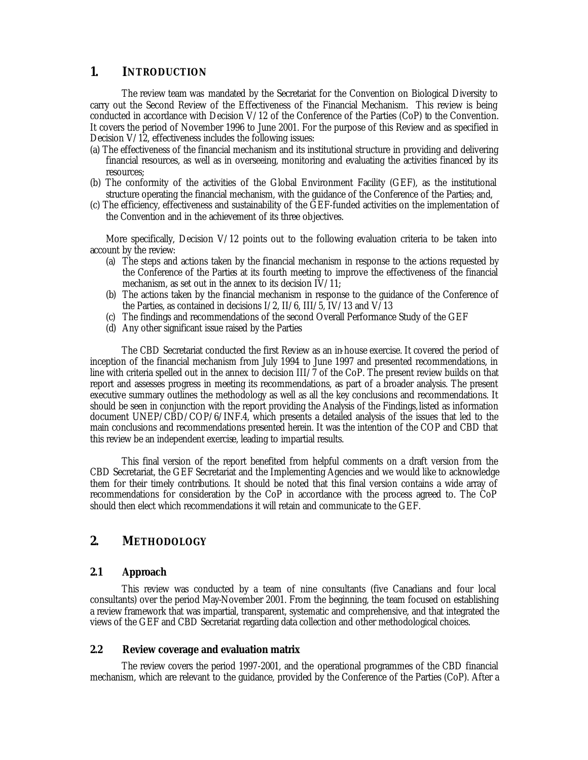#### **1. INTRODUCTION**

The review team was mandated by the Secretariat for the Convention on Biological Diversity to carry out the Second Review of the Effectiveness of the Financial Mechanism. This review is being conducted in accordance with Decision V/12 of the Conference of the Parties (CoP) to the Convention. It covers the period of November 1996 to June 2001. For the purpose of this Review and as specified in Decision V/12, effectiveness includes the following issues:

- (a) The effectiveness of the financial mechanism and its institutional structure in providing and delivering financial resources, as well as in overseeing, monitoring and evaluating the activities financed by its resources;
- (b) The conformity of the activities of the Global Environment Facility (GEF), as the institutional structure operating the financial mechanism, with the guidance of the Conference of the Parties; and,
- (c) The efficiency, effectiveness and sustainability of the GEF-funded activities on the implementation of the Convention and in the achievement of its three objectives.

More specifically, Decision V/12 points out to the following evaluation criteria to be taken into account by the review:

- (a) The steps and actions taken by the financial mechanism in response to the actions requested by the Conference of the Parties at its fourth meeting to improve the effectiveness of the financial mechanism, as set out in the annex to its decision IV/11;
- (b) The actions taken by the financial mechanism in response to the guidance of the Conference of the Parties, as contained in decisions I/2, II/6, III/5, IV/13 and V/13
- (c) The findings and recommendations of the second Overall Performance Study of the GEF
- (d) Any other significant issue raised by the Parties

The CBD Secretariat conducted the first Review as an in-house exercise. It covered the period of inception of the financial mechanism from July 1994 to June 1997 and presented recommendations, in line with criteria spelled out in the annex to decision III/7 of the CoP. The present review builds on that report and assesses progress in meeting its recommendations, as part of a broader analysis. The present executive summary outlines the methodology as well as all the key conclusions and recommendations. It should be seen in conjunction with the report providing the Analysis of the Findings, listed as information document UNEP/CBD/COP/6/INF.4, which presents a detailed analysis of the issues that led to the main conclusions and recommendations presented herein. It was the intention of the COP and CBD that this review be an independent exercise, leading to impartial results.

This final version of the report benefited from helpful comments on a draft version from the CBD Secretariat, the GEF Secretariat and the Implementing Agencies and we would like to acknowledge them for their timely contributions. It should be noted that this final version contains a wide array of recommendations for consideration by the CoP in accordance with the process agreed to. The CoP should then elect which recommendations it will retain and communicate to the GEF.

## **2. METHODOLOGY**

#### *2.1 Approach*

This review was conducted by a team of nine consultants (five Canadians and four local consultants) over the period May-November 2001. From the beginning, the team focused on establishing a review framework that was impartial, transparent, systematic and comprehensive, and that integrated the views of the GEF and CBD Secretariat regarding data collection and other methodological choices.

#### *2.2 Review coverage and evaluation matrix*

The review covers the period 1997-2001, and the operational programmes of the CBD financial mechanism, which are relevant to the guidance, provided by the Conference of the Parties (CoP). After a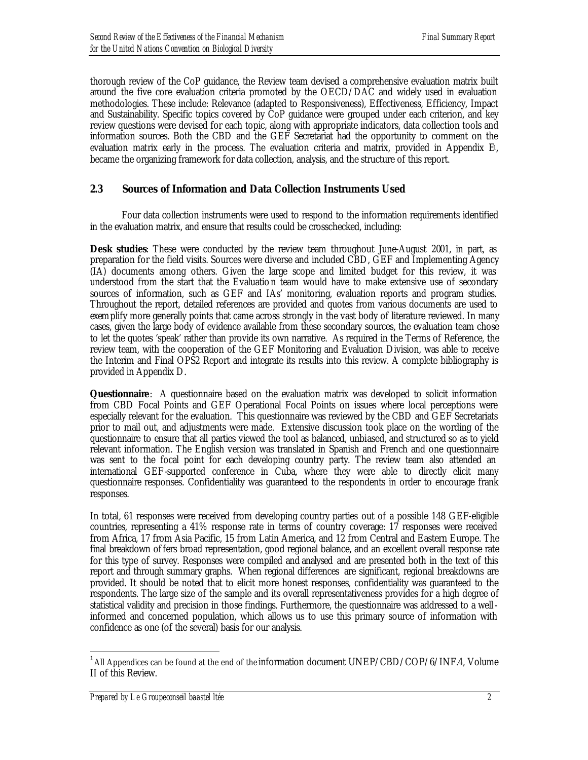thorough review of the CoP guidance, the Review team devised a comprehensive evaluation matrix built around the five core evaluation criteria promoted by the OECD/DAC and widely used in evaluation methodologies. These include: Relevance (adapted to Responsiveness), Effectiveness, Efficiency, Impact and Sustainability. Specific topics covered by CoP guidance were grouped under each criterion, and key review questions were devised for each topic, along with appropriate indicators, data collection tools and information sources. Both the CBD and the GEF Secretariat had the opportunity to comment on the evaluation matrix early in the process. The evaluation criteria and matrix, provided in Appendix E1, became the organizing framework for data collection, analysis, and the structure of this report.

## *2.3 Sources of Information and Data Collection Instruments Used*

Four data collection instruments were used to respond to the information requirements identified in the evaluation matrix, and ensure that results could be crosschecked, including:

**Desk studies**: These were conducted by the review team throughout June-August 2001, in part, as preparation for the field visits. Sources were diverse and included CBD, GEF and Implementing Agency (IA) documents among others. Given the large scope and limited budget for this review, it was understood from the start that the Evaluatio n team would have to make extensive use of secondary sources of information, such as GEF and IAs' monitoring, evaluation reports and program studies. Throughout the report, detailed references are provided and quotes from various documents are used to exemplify more generally points that came across strongly in the vast body of literature reviewed. In many cases, given the large body of evidence available from these secondary sources, the evaluation team chose to let the quotes 'speak' rather than provide its own narrative. As required in the Terms of Reference, the review team, with the cooperation of the GEF Monitoring and Evaluation Division, was able to receive the Interim and Final OPS2 Report and integrate its results into this review. A complete bibliography is provided in Appendix D.

**Questionnaire:** A questionnaire based on the evaluation matrix was developed to solicit information from CBD Focal Points and GEF Operational Focal Points on issues where local perceptions were especially relevant for the evaluation. This questionnaire was reviewed by the CBD and GEF Secretariats prior to mail out, and adjustments were made. Extensive discussion took place on the wording of the questionnaire to ensure that all parties viewed the tool as balanced, unbiased, and structured so as to yield relevant information. The English version was translated in Spanish and French and one questionnaire was sent to the focal point for each developing country party. The review team also attended an international GEF-supported conference in Cuba, where they were able to directly elicit many questionnaire responses. Confidentiality was guaranteed to the respondents in order to encourage frank responses.

In total, 61 responses were received from developing country parties out of a possible 148 GEF-eligible countries, representing a 41% response rate in terms of country coverage: 17 responses were received from Africa, 17 from Asia Pacific, 15 from Latin America, and 12 from Central and Eastern Europe. The final breakdown offers broad representation, good regional balance, and an excellent overall response rate for this type of survey. Responses were compiled and analysed and are presented both in the text of this report and through summary graphs. When regional differences are significant, regional breakdowns are provided. It should be noted that to elicit more honest responses, confidentiality was guaranteed to the respondents. The large size of the sample and its overall representativeness provides for a high degree of statistical validity and precision in those findings. Furthermore, the questionnaire was addressed to a wellinformed and concerned population, which allows us to use this primary source of information with confidence as one (of the several) basis for our analysis.

 $\overline{a}$ 

<sup>&</sup>lt;sup>1</sup> All Appendices can be found at the end of the information document  $\rm UNEP/CDD/COP/6/INF.4$ ,  $\rm Volume$ II of this Review.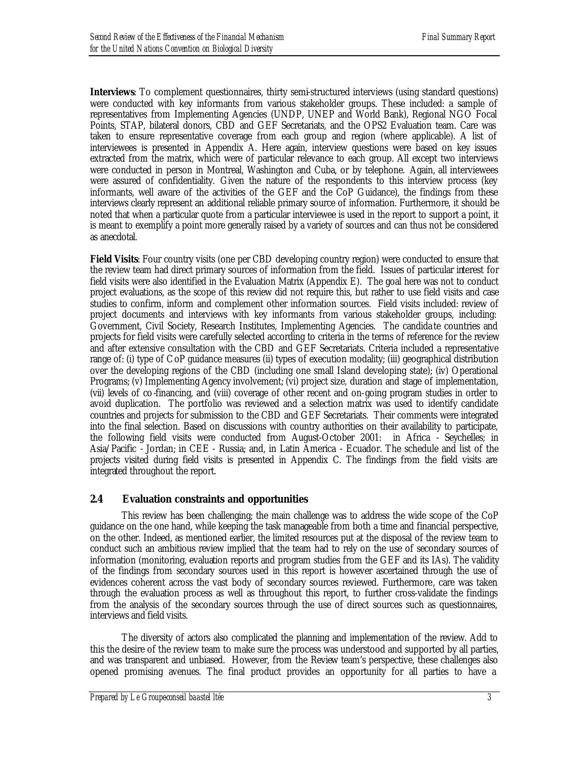**Interviews**: To complement questionnaires, thirty semi-structured interviews (using standard questions) were conducted with key informants from various stakeholder groups. These included: a sample of representatives from Implementing Agencies (UNDP, UNEP and World Bank), Regional NGO Focal Points, STAP, bilateral donors, CBD and GEF Secretariats, and the OPS2 Evaluation team. Care was taken to ensure representative coverage from each group and region (where applicable). A list of interviewees is presented in Appendix A. Here again, interview questions were based on key issues extracted from the matrix, which were of particular relevance to each group. All except two interviews were conducted in person in Montreal, Washington and Cuba, or by telephone. Again, all interviewees were assured of confidentiality. Given the nature of the respondents to this interview process (key informants, well aware of the activities of the GEF and the CoP Guidance), the findings from these interviews clearly represent an additional reliable primary source of information. Furthermore, it should be noted that when a particular quote from a particular interviewee is used in the report to support a point, it is meant to exemplify a point more generally raised by a variety of sources and can thus not be considered as anecdotal.

**Field Visits:** Four country visits (one per CBD developing country region) were conducted to ensure that the review team had direct primary sources of information from the field. Issues of particular interest for field visits were also identified in the Evaluation Matrix (Appendix E). The goal here was not to conduct project evaluations, as the scope of this review did not require this, but rather to use field visits and case studies to confirm, inform and complement other information sources. Field visits included: review of project documents and interviews with key informants from various stakeholder groups, including: Government, Civil Society, Research Institutes, Implementing Agencies. The candida te countries and projects for field visits were carefully selected according to criteria in the terms of reference for the review and after extensive consultation with the CBD and GEF Secretariats. Criteria included a representative range of: (i) type of CoP guidance measures (ii) types of execution modality; (iii) geographical distribution over the developing regions of the CBD (including one small Island developing state); (iv) Operational Programs; (v) Implementing Agency involvement; (vi) project size, duration and stage of implementation, (vii) levels of co-financing, and (viii) coverage of other recent and on-going program studies in order to avoid duplication. The portfolio was reviewed and a selection matrix was used to identify candidate countries and projects for submission to the CBD and GEF Secretariats. Their comments were integrated into the final selection. Based on discussions with country authorities on their availability to participate, the following field visits were conducted from August-October 2001: in Africa - Seychelles; in Asia/Pacific - Jordan; in CEE - Russia; and, in Latin America - Ecuador. The schedule and list of the projects visited during field visits is presented in Appendix C. The findings from the field visits are integrated throughout the report.

## *2.4 Evaluation constraints and opportunities*

This review has been challenging; the main challenge was to address the wide scope of the CoP guidance on the one hand, while keeping the task manageable from both a time and financial perspective, on the other. Indeed, as mentioned earlier, the limited resources put at the disposal of the review team to conduct such an ambitious review implied that the team had to rely on the use of secondary sources of information (monitoring, evaluation reports and program studies from the GEF and its IAs). The validity of the findings from secondary sources used in this report is however ascertained through the use of evidences coherent across the vast body of secondary sources reviewed. Furthermore, care was taken through the evaluation process as well as throughout this report, to further cross-validate the findings from the analysis of the secondary sources through the use of direct sources such as questionnaires, interviews and field visits.

The diversity of actors also complicated the planning and implementation of the review. Add to this the desire of the review team to make sure the process was understood and supported by all parties, and was transparent and unbiased. However, from the Review team's perspective, these challenges also opened promising avenues. The final product provides an opportunity for all parties to have a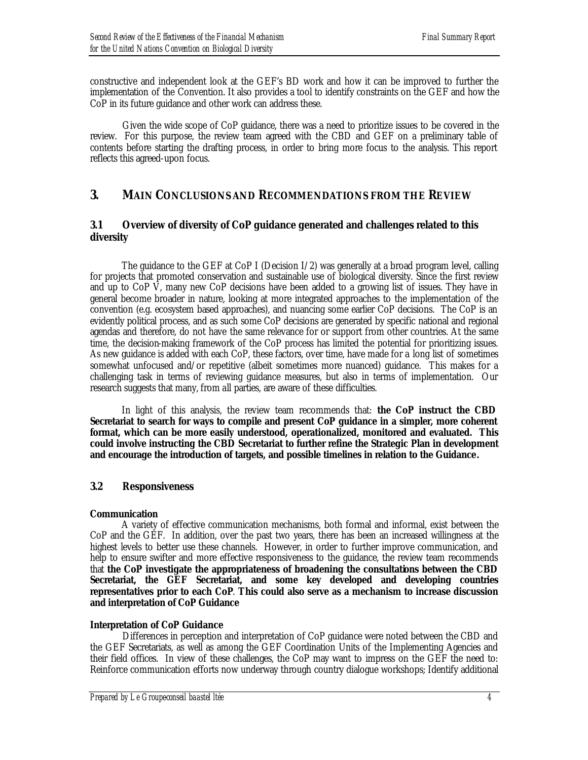constructive and independent look at the GEF's BD work and how it can be improved to further the implementation of the Convention. It also provides a tool to identify constraints on the GEF and how the CoP in its future guidance and other work can address these.

Given the wide scope of CoP guidance, there was a need to prioritize issues to be covered in the review. For this purpose, the review team agreed with the CBD and GEF on a preliminary table of contents before starting the drafting process, in order to bring more focus to the analysis. This report reflects this agreed-upon focus.

## **3. MAIN CONCLUSIONS AND RECOMMENDATIONS FROM THE REVIEW**

## *3.1 Overview of diversity of CoP guidance generated and challenges related to this diversity*

The guidance to the GEF at CoP I (Decision  $I/2$ ) was generally at a broad program level, calling for projects that promoted conservation and sustainable use of biological diversity. Since the first review and up to CoP  $\overline{V}$ , many new CoP decisions have been added to a growing list of issues. They have in general become broader in nature, looking at more integrated approaches to the implementation of the convention (e.g. ecosystem based approaches), and nuancing some earlier CoP decisions. The CoP is an evidently political process, and as such some CoP decisions are generated by specific national and regional agendas and therefore, do not have the same relevance for or support from other countries. At the same time, the decision-making framework of the CoP process has limited the potential for prioritizing issues. As new guidance is added with each CoP, these factors, over time, have made for a long list of sometimes somewhat unfocused and/or repetitive (albeit sometimes more nuanced) guidance. This makes for a challenging task in terms of reviewing guidance measures, but also in terms of implementation. Our research suggests that many, from all parties, are aware of these difficulties.

In light of this analysis, the review team recommends that: **the CoP instruct the CBD Secretariat to search for ways to compile and present CoP guidance in a simpler, more coherent format, which can be more easily understood, operationalized, monitored and evaluated. This could involve instructing the CBD Secretariat to further refine the Strategic Plan in development and encourage the introduction of targets, and possible timelines in relation to the Guidance.** 

## *3.2 Responsiveness*

## *Communication*

A variety of effective communication mechanisms, both formal and informal, exist between the CoP and the GEF. In addition, over the past two years, there has been an increased willingness at the highest levels to better use these channels. However, in order to further improve communication, and help to ensure swifter and more effective responsiveness to the guidance, the review team recommends that **the CoP investigate the appropriateness of broadening the consultations between the CBD Secretariat, the GEF Secretariat, and some key developed and developing countries representatives prior to each CoP**. **This could also serve as a mechanism to increase discussion and interpretation of CoP Guidance**

## *Interpretation of CoP Guidance*

Differences in perception and interpretation of CoP guidance were noted between the CBD and the GEF Secretariats, as well as among the GEF Coordination Units of the Implementing Agencies and their field offices. In view of these challenges, the CoP may want to impress on the GEF the need to: Reinforce communication efforts now underway through country dialogue workshops; Identify additional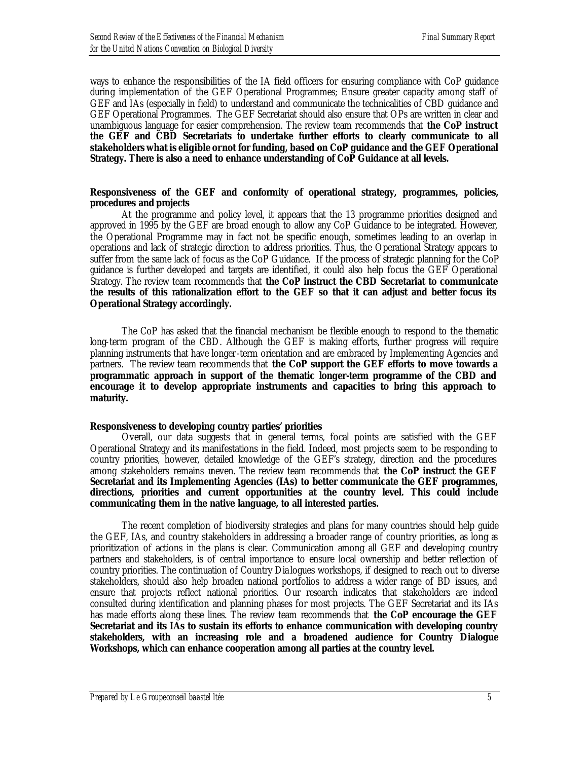ways to enhance the responsibilities of the IA field officers for ensuring compliance with CoP guidance during implementation of the GEF Operational Programmes; Ensure greater capacity among staff of GEF and IAs (especially in field) to understand and communicate the technicalities of CBD guidance and GEF Operational Programmes. The GEF Secretariat should also ensure that OPs are written in clear and unambiguous language for easier comprehension. The review team recommends that **the CoP instruct the GEF and CBD Secretariats to undertake further efforts to clearly communicate to all stakeholders what is eligible or not for funding, based on CoP guidance and the GEF Operational Strategy. There is also a need to enhance understanding of CoP Guidance at all levels.** 

#### *Responsiveness of the GEF and conformity of operational strategy, programmes, policies, procedures and projects*

At the programme and policy level, it appears that the 13 programme priorities designed and approved in 1995 by the GEF are broad enough to allow any CoP Guidance to be integrated. However, the Operational Programme may in fact not be specific enough, sometimes leading to an overlap in operations and lack of strategic direction to address priorities. Thus, the Operational Strategy appears to suffer from the same lack of focus as the CoP Guidance. If the process of strategic planning for the CoP guidance is further developed and targets are identified, it could also help focus the GEF Operational Strategy. The review team recommends that **the CoP instruct the CBD Secretariat to communicate the results of this rationalization effort to the GEF so that it can adjust and better focus its Operational Strategy accordingly.** 

The CoP has asked that the financial mechanism be flexible enough to respond to the thematic long-term program of the CBD. Although the GEF is making efforts, further progress will require planning instruments that have longer-term orientation and are embraced by Implementing Agencies and partners. The review team recommends that **the CoP support the GEF efforts to move towards a programmatic approach in support of the thematic longer-term programme of the CBD and encourage it to develop appropriate instruments and capacities to bring this approach to maturity.** 

#### *Responsiveness to developing country parties' priorities*

Overall, our data suggests that in general terms, focal points are satisfied with the GEF Operational Strategy and its manifestations in the field. Indeed, most projects seem to be responding to country priorities, however, detailed knowledge of the GEF's strategy, direction and the procedures among stakeholders remains uneven. The review team recommends that **the CoP instruct the GEF Secretariat and its Implementing Agencies (IAs) to better communicate the GEF programmes, directions, priorities and current opportunities at the country level. This could include communicating them in the native language, to all interested parties.**

The recent completion of biodiversity strategies and plans for many countries should help guide the GEF, IAs, and country stakeholders in addressing a broader range of country priorities, as long as prioritization of actions in the plans is clear. Communication among all GEF and developing country partners and stakeholders, is of central importance to ensure local ownership and better reflection of country priorities. The continuation of Country Dia logues workshops, if designed to reach out to diverse stakeholders, should also help broaden national portfolios to address a wider range of BD issues, and ensure that projects reflect national priorities. Our research indicates that stakeholders are indeed consulted during identification and planning phases for most projects. The GEF Secretariat and its IAs has made efforts along these lines. The review team recommends that **the CoP encourage the GEF Secretariat and its IAs to sustain its efforts to enhance communication with developing country stakeholders, with an increasing role and a broadened audience for Country Dialogue Workshops, which can enhance cooperation among all parties at the country level.**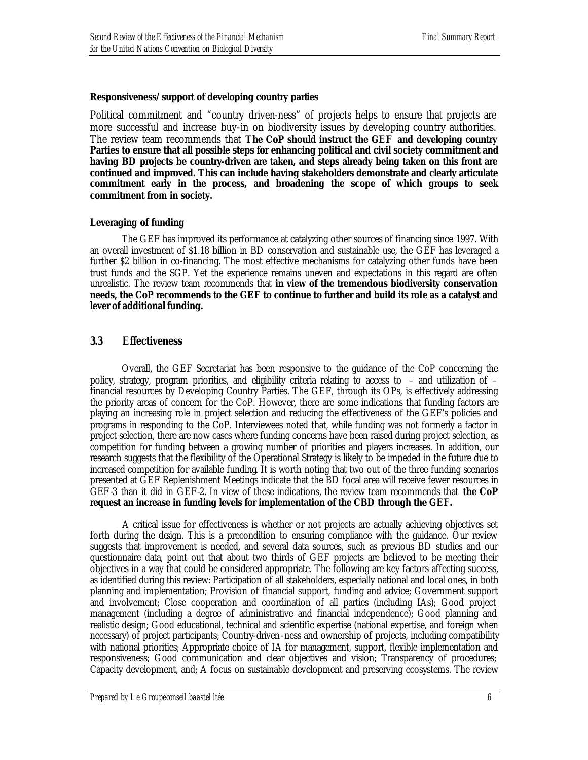#### *Responsiveness/support of developing country parties*

Political commitment and "country driven-ness" of projects helps to ensure that projects are more successful and increase buy-in on biodiversity issues by developing country authorities. The review team recommends that **The CoP should instruct the GEF and developing country Parties to ensure that all possible steps for enhancing political and civil society commitment and having BD projects be country-driven are taken, and steps already being taken on this front are continued and improved. This can include having stakeholders demonstrate and clearly articulate commitment early in the process, and broadening the scope of which groups to seek commitment from in society.**

#### *Leveraging of funding*

The GEF has improved its performance at catalyzing other sources of financing since 1997. With an overall investment of \$1.18 billion in BD conservation and sustainable use, the GEF has leveraged a further \$2 billion in co-financing. The most effective mechanisms for catalyzing other funds have been trust funds and the SGP. Yet the experience remains uneven and expectations in this regard are often unrealistic. The review team recommends that **in view of the tremendous biodiversity conservation needs, the CoP recommends to the GEF to continue to further and build its role as a catalyst and lever of additional funding.**

## *3.3 Effectiveness*

Overall, the GEF Secretariat has been responsive to the guidance of the CoP concerning the policy, strategy, program priorities, and eligibility criteria relating to access to – and utilization of – financial resources by Developing Country Parties. The GEF, through its OPs, is effectively addressing the priority areas of concern for the CoP. However, there are some indications that funding factors are playing an increasing role in project selection and reducing the effectiveness of the GEF's policies and programs in responding to the CoP. Interviewees noted that, while funding was not formerly a factor in project selection, there are now cases where funding concerns have been raised during project selection, as competition for funding between a growing number of priorities and players increases. In addition, our research suggests that the flexibility of the Operational Strategy is likely to be impeded in the future due to increased competition for available funding. It is worth noting that two out of the three funding scenarios presented at GEF Replenishment Meetings indicate that the BD focal area will receive fewer resources in GEF-3 than it did in GEF-2. In view of these indications, the review team recommends that **the CoP request an increase in funding levels for implementation of the CBD through the GEF.** 

A critical issue for effectiveness is whether or not projects are actually achieving objectives set forth during the design. This is a precondition to ensuring compliance with the guidance. Our review suggests that improvement is needed, and several data sources, such as previous BD studies and our questionnaire data, point out that about two thirds of GEF projects are believed to be meeting their objectives in a way that could be considered appropriate. The following are key factors affecting success, as identified during this review: Participation of all stakeholders, especially national and local ones, in both planning and implementation; Provision of financial support, funding and advice; Government support and involvement; Close cooperation and coordination of all parties (including IAs); Good project management (including a degree of administrative and financial independence); Good planning and realistic design; Good educational, technical and scientific expertise (national expertise, and foreign when necessary) of project participants; Country-driven-ness and ownership of projects, including compatibility with national priorities; Appropriate choice of IA for management, support, flexible implementation and responsiveness; Good communication and clear objectives and vision; Transparency of procedures; Capacity development, and; A focus on sustainable development and preserving ecosystems. The review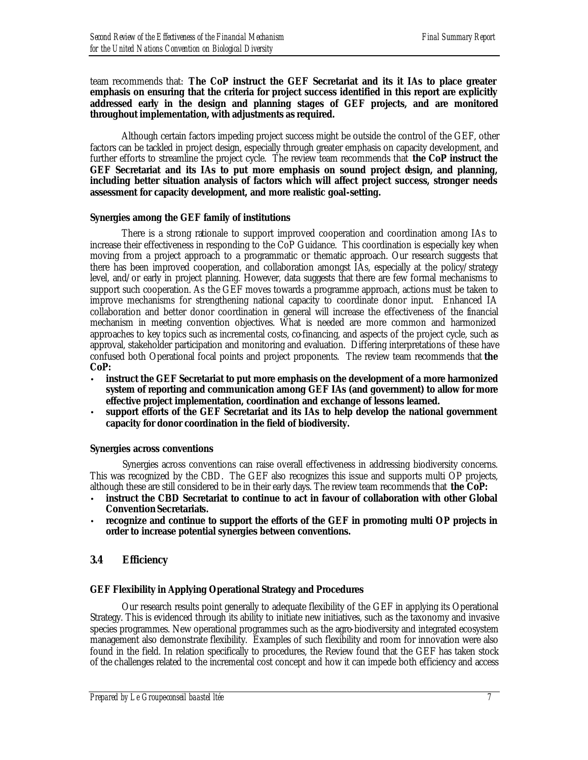#### team recommends that: **The CoP instruct the GEF Secretariat and its it IAs to place greater emphasis on ensuring that the criteria for project success identified in this report are explicitly addressed early in the design and planning stages of GEF projects, and are monitored throughout implementation, with adjustments as required.**

Although certain factors impeding project success might be outside the control of the GEF, other factors can be tackled in project design, especially through greater emphasis on capacity development, and further efforts to streamline the project cycle. The review team recommends that **the CoP instruct the GEF Secretariat and its IAs to put more emphasis on sound project design, and planning, including better situation analysis of factors which will affect project success, stronger needs assessment for capacity development, and more realistic goal-setting.**

#### *Synergies among the GEF family of institutions*

There is a strong rationale to support improved cooperation and coordination among IAs to increase their effectiveness in responding to the CoP Guidance. This coordination is especially key when moving from a project approach to a programmatic or thematic approach. Our research suggests that there has been improved cooperation, and collaboration amongst IAs, especially at the policy/strategy level, and/or early in project planning. However, data suggests that there are few formal mechanisms to support such cooperation. As the GEF moves towards a programme approach, actions must be taken to improve mechanisms for strengthening national capacity to coordinate donor input. Enhanced IA collaboration and better donor coordination in general will increase the effectiveness of the financial mechanism in meeting convention objectives. What is needed are more common and harmonized approaches to key topics such as incremental costs, co-financing, and aspects of the project cycle, such as approval, stakeholder participation and monitoring and evaluation. Differing interpretations of these have confused both Operational focal points and project proponents. The review team recommends that **the CoP:**

- **instruct the GEF Secretariat to put more emphasis on the development of a more harmonized system of reporting and communication among GEF IAs (and government) to allow for more effective project implementation, coordination and exchange of lessons learned.**
- **support efforts of the GEF Secretariat and its IAs to help develop the national government capacity for donor coordination in the field of biodiversity.**

## *Synergies across conventions*

Synergies across conventions can raise overall effectiveness in addressing biodiversity concerns. This was recognized by the CBD. The GEF also recognizes this issue and supports multi OP projects, although these are still considered to be in their early days. The review team recommends that **the CoP:**

- **instruct the CBD Secretariat to continue to act in favour of collaboration with other Global Convention Secretariats.**
- **recognize and continue to support the efforts of the GEF in promoting multi OP projects in order to increase potential synergies between conventions.**

## *3.4 Efficiency*

## *GEF Flexibility in Applying Operational Strategy and Procedures*

Our research results point generally to adequate flexibility of the GEF in applying its Operational Strategy. This is evidenced through its ability to initiate new initiatives, such as the taxonomy and invasive species programmes. New operational programmes such as the agro-biodiversity and integrated ecosystem management also demonstrate flexibility. Examples of such flexibility and room for innovation were also found in the field. In relation specifically to procedures, the Review found that the GEF has taken stock of the challenges related to the incremental cost concept and how it can impede both efficiency and access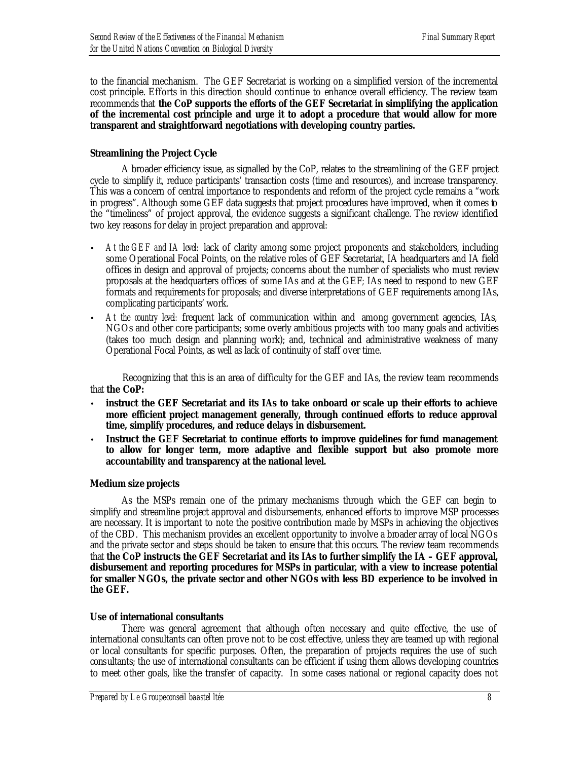to the financial mechanism. The GEF Secretariat is working on a simplified version of the incremental cost principle. Efforts in this direction should continue to enhance overall efficiency. The review team recommends that **the CoP supports the efforts of the GEF Secretariat in simplifying the application of the incremental cost principle and urge it to adopt a procedure that would allow for more transparent and straightforward negotiations with developing country parties.** 

## *Streamlining the Project Cycle*

A broader efficiency issue, as signalled by the CoP, relates to the streamlining of the GEF project cycle to simplify it, reduce participants' transaction costs (time and resources), and increase transparency. This was a concern of central importance to respondents and reform of the project cycle remains a "work in progress". Although some GEF data suggests that project procedures have improved, when it comes to the "timeliness" of project approval, the evidence suggests a significant challenge. The review identified two key reasons for delay in project preparation and approval:

- *At the GEF and IA level:* lack of clarity among some project proponents and stakeholders, including some Operational Focal Points, on the relative roles of GEF Secretariat, IA headquarters and IA field offices in design and approval of projects; concerns about the number of specialists who must review proposals at the headquarters offices of some IAs and at the GEF*;* IAs need to respond to new GEF formats and requirements for proposals; and diverse interpretations of GEF requirements among IAs, complicating participants' work.
- *At the country level:* frequent lack of communication within and among government agencies, IAs, NGOs and other core participants; some overly ambitious projects with too many goals and activities (takes too much design and planning work); and, technical and administrative weakness of many Operational Focal Points, as well as lack of continuity of staff over time.

Recognizing that this is an area of difficulty for the GEF and IAs, the review team recommends that **the CoP:**

- **instruct the GEF Secretariat and its IAs to take onboard or scale up their efforts to achieve more efficient project management generally, through continued efforts to reduce approval time, simplify procedures, and reduce delays in disbursement.**
- **Instruct the GEF Secretariat to continue efforts to improve guidelines for fund management to allow for longer term, more adaptive and flexible support but also promote more accountability and transparency at the national level.**

#### *Medium size projects*

As the MSPs remain one of the primary mechanisms through which the GEF can begin to simplify and streamline project approval and disbursements, enhanced efforts to improve MSP processes are necessary. It is important to note the positive contribution made by MSPs in achieving the objectives of the CBD. This mechanism provides an excellent opportunity to involve a broader array of local NGOs and the private sector and steps should be taken to ensure that this occurs. The review team recommends that **the CoP instructs the GEF Secretariat and its IAs to further simplify the IA – GEF approval, disbursement and reporting procedures for MSPs in particular, with a view to increase potential for smaller NGOs, the private sector and other NGOs with less BD experience to be involved in the GEF.** 

## *Use of international consultants*

There was general agreement that although often necessary and quite effective, the use of international consultants can often prove not to be cost effective, unless they are teamed up with regional or local consultants for specific purposes. Often, the preparation of projects requires the use of such consultants; the use of international consultants can be efficient if using them allows developing countries to meet other goals, like the transfer of capacity. In some cases national or regional capacity does not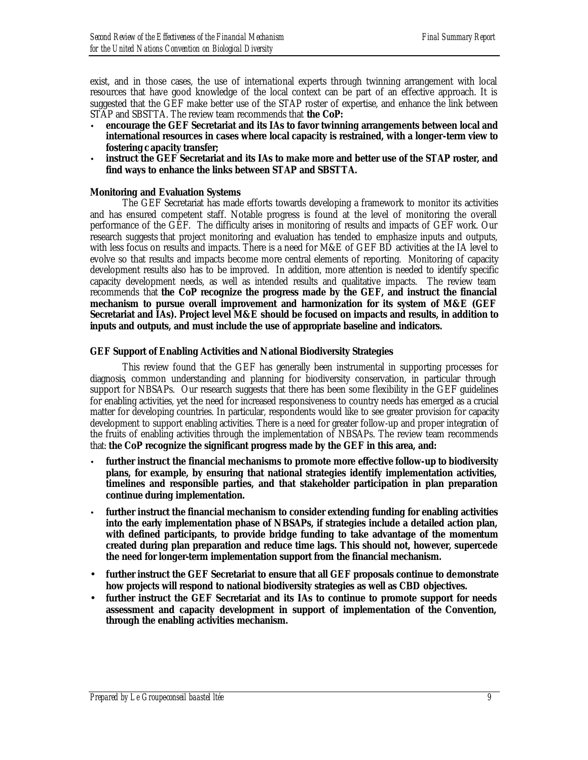exist, and in those cases, the use of international experts through twinning arrangement with local resources that have good knowledge of the local context can be part of an effective approach. It is suggested that the GEF make better use of the STAP roster of expertise, and enhance the link between STAP and SBSTTA. The review team recommends that **the CoP:**

- **encourage the GEF Secretariat and its IAs to favor twinning arrangements between local and international resources in cases where local capacity is restrained, with a longer-term view to fostering c apacity transfer;**
- **instruct the GEF Secretariat and its IAs to make more and better use of the STAP roster, and find ways to enhance the links between STAP and SBSTTA.**

#### *Monitoring and Evaluation Systems*

The GEF Secretariat has made efforts towards developing a framework to monitor its activities and has ensured competent staff. Notable progress is found at the level of monitoring the overall performance of the GEF. The difficulty arises in monitoring of results and impacts of GEF work. Our research suggests that project monitoring and evaluation has tended to emphasize inputs and outputs, with less focus on results and impacts. There is a need for M&E of GEF BD activities at the IA level to evolve so that results and impacts become more central elements of reporting. Monitoring of capacity development results also has to be improved. In addition, more attention is needed to identify specific capacity development needs, as well as intended results and qualitative impacts. The review team recommends that **the CoP recognize the progress made by the GEF, and instruct the financial mechanism to pursue overall improvement and harmonization for its system of M&E (GEF Secretariat and IAs). Project level M&E should be focused on impacts and results, in addition to inputs and outputs, and must include the use of appropriate baseline and indicators.**

#### *GEF Support of Enabling Activities and National Biodiversity Strategies*

This review found that the GEF has generally been instrumental in supporting processes for diagnosis, common understanding and planning for biodiversity conservation, in particular through support for NBSAPs. Our research suggests that there has been some flexibility in the GEF guidelines for enabling activities, yet the need for increased responsiveness to country needs has emerged as a crucial matter for developing countries. In particular, respondents would like to see greater provision for capacity development to support enabling activities. There is a need for greater follow-up and proper integration of the fruits of enabling activities through the implementation of NBSAPs. The review team recommends that: **the CoP recognize the significant progress made by the GEF in this area, and:**

- **further instruct the financial mechanisms to promote more effective follow-up to biodiversity plans, for example, by ensuring that national strategies identify implementation activities, timelines and responsible parties, and that stakeholder participation in plan preparation continue during implementation.**
- **further instruct the financial mechanism to consider extending funding for enabling activities into the early implementation phase of NBSAPs, if strategies include a detailed action plan, with defined participants, to provide bridge funding to take advantage of the momentum created during plan preparation and reduce time lags. This should not, however, supercede the need for longer-term implementation support from the financial mechanism.**
- **further instruct the GEF Secretariat to ensure that all GEF proposals continue to demonstrate how projects will respond to national biodiversity strategies as well as CBD objectives.**
- **further instruct the GEF Secretariat and its IAs to continue to promote support for needs assessment and capacity development in support of implementation of the Convention, through the enabling activities mechanism.**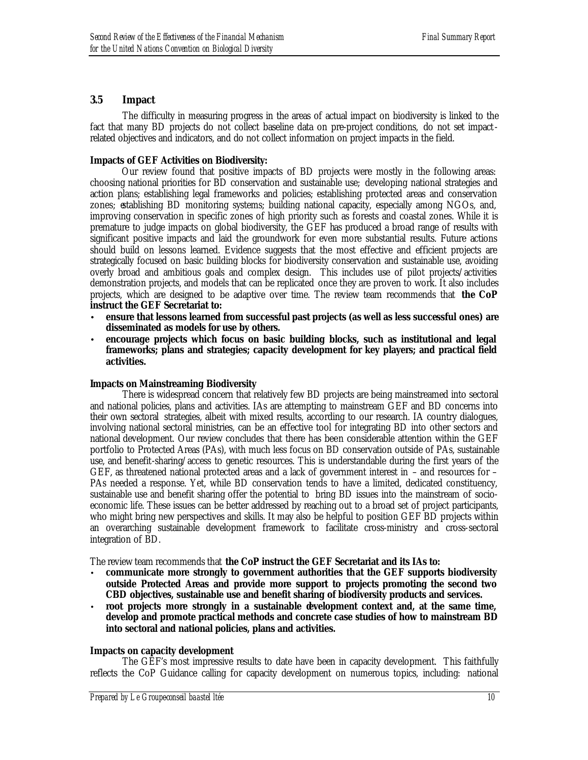## *3.5 Impact*

The difficulty in measuring progress in the areas of actual impact on biodiversity is linked to the fact that many BD projects do not collect baseline data on pre-project conditions, do not set impactrelated objectives and indicators, and do not collect information on project impacts in the field.

## *Impacts of GEF Activities on Biodiversity:*

Our review found that positive impacts of BD projects were mostly in the following areas: choosing national priorities for BD conservation and sustainable use; developing national strategies and action plans; establishing legal frameworks and policies; establishing protected areas and conservation zones; establishing BD monitoring systems; building national capacity, especially among NGOs, and, improving conservation in specific zones of high priority such as forests and coastal zones. While it is premature to judge impacts on global biodiversity, the GEF has produced a broad range of results with significant positive impacts and laid the groundwork for even more substantial results. Future actions should build on lessons learned. Evidence suggests that the most effective and efficient projects are strategically focused on basic building blocks for biodiversity conservation and sustainable use, avoiding overly broad and ambitious goals and complex design. This includes use of pilot projects/activities demonstration projects, and models that can be replicated once they are proven to work. It also includes projects, which are designed to be adaptive over time. The review team recommends that **the CoP instruct the GEF Secretariat to:**

- **ensure that lessons learned from successful past projects (as well as less successful ones) are disseminated as models for use by others.**
- **encourage projects which focus on basic building blocks, such as institutional and legal frameworks; plans and strategies; capacity development for key players; and practical field activities.**

#### *Impacts on Mainstreaming Biodiversity*

There is widespread concern that relatively few BD projects are being mainstreamed into sectoral and national policies, plans and activities. IAs are attempting to mainstream GEF and BD concerns into their own sectoral strategies, albeit with mixed results, according to our research. IA country dialogues, involving national sectoral ministries, can be an effective tool for integrating BD into other sectors and national development. Our review concludes that there has been considerable attention within the GEF portfolio to Protected Areas (PAs), with much less focus on BD conservation outside of PAs, sustainable use, and benefit-sharing/access to genetic resources. This is understandable during the first years of the GEF, as threatened national protected areas and a lack of government interest in – and resources for – PAs needed a response. Yet, while BD conservation tends to have a limited, dedicated constituency, sustainable use and benefit sharing offer the potential to bring BD issues into the mainstream of socioeconomic life. These issues can be better addressed by reaching out to a broad set of project participants, who might bring new perspectives and skills. It may also be helpful to position GEF BD projects within an overarching sustainable development framework to facilitate cross-ministry and cross-sectoral integration of BD.

The review team recommends that **the CoP instruct the GEF Secretariat and its IAs to:**

- **communicate more strongly to government authorities that the GEF supports biodiversity outside Protected Areas and provide more support to projects promoting the second two CBD objectives, sustainable use and benefit sharing of biodiversity products and services.**
- **root projects more strongly in a sustainable development context and, at the same time, develop and promote practical methods and concrete case studies of how to mainstream BD into sectoral and national policies, plans and activities.**

#### *Impacts on capacity development*

The GEF's most impressive results to date have been in capacity development. This faithfully reflects the CoP Guidance calling for capacity development on numerous topics, including: national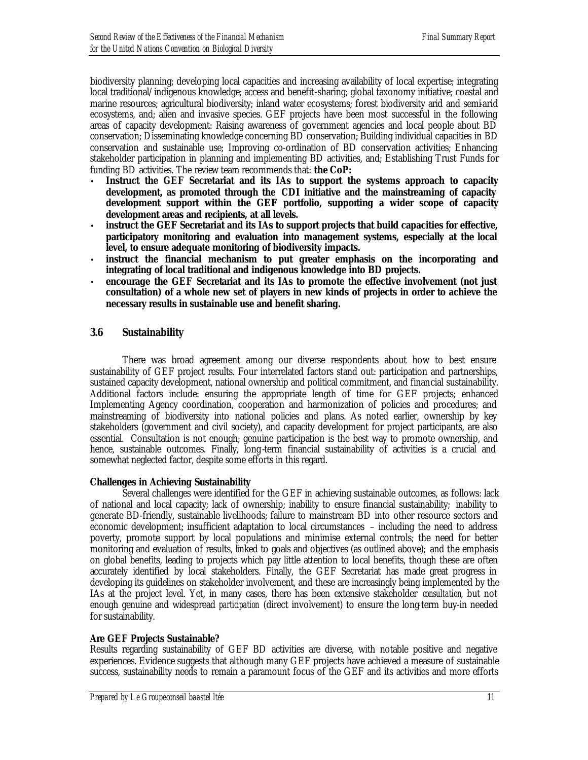biodiversity planning; developing local capacities and increasing availability of local expertise; integrating local traditional/indigenous knowledge; access and benefit-sharing; global taxonomy initiative; coastal and marine resources; agricultural biodiversity; inland water ecosystems; forest biodiversity arid and semi-arid ecosystems, and; alien and invasive species. GEF projects have been most successful in the following areas of capacity development: Raising awareness of government agencies and local people about BD conservation; Disseminating knowledge concerning BD conservation; Building individual capacities in BD conservation and sustainable use; Improving co-ordination of BD conservation activities; Enhancing stakeholder participation in planning and implementing BD activities, and; Establishing Trust Funds for funding BD activities. The review team recommends that: **the CoP:**

- **Instruct the GEF Secretariat and its IAs to support the systems approach to capacity development, as promoted through the CDI initiative and the mainstreaming of capacity development support within the GEF portfolio, supporting a wider scope of capacity development areas and recipients, at all levels.**
- **instruct the GEF Secretariat and its IAs to support projects that build capacities for effective, participatory monitoring and evaluation into management systems, especially at the local level, to ensure adequate monitoring of biodiversity impacts.**
- **instruct the financial mechanism to put greater emphasis on the incorporating and integrating of local traditional and indigenous knowledge into BD projects.**
- **encourage the GEF Secretariat and its IAs to promote the effective involvement (not just consultation) of a whole new set of players in new kinds of projects in order to achieve the necessary results in sustainable use and benefit sharing.**

## *3.6 Sustainability*

There was broad agreement among our diverse respondents about how to best ensure sustainability of GEF project results. Four interrelated factors stand out: participation and partnerships, sustained capacity development, national ownership and political commitment, and financial sustainability. Additional factors include: ensuring the appropriate length of time for GEF projects; enhanced Implementing Agency coordination, cooperation and harmonization of policies and procedures; and mainstreaming of biodiversity into national policies and plans. As noted earlier, ownership by key stakeholders (government and civil society), and capacity development for project participants, are also essential. Consultation is not enough; genuine participation is the best way to promote ownership, and hence, sustainable outcomes. Finally, long-term financial sustainability of activities is a crucial and somewhat neglected factor, despite some efforts in this regard.

#### *Challenges in Achieving Sustainability*

Several challenges were identified for the GEF in achieving sustainable outcomes, as follows: lack of national and local capacity; lack of ownership; inability to ensure financial sustainability; inability to generate BD-friendly, sustainable livelihoods; failure to mainstream BD into other resource sectors and economic development; insufficient adaptation to local circumstances – including the need to address poverty, promote support by local populations and minimise external controls; the need for better monitoring and evaluation of results, linked to goals and objectives (as outlined above); and the emphasis on global benefits, leading to projects which pay little attention to local benefits, though these are often accurately identified by local stakeholders. Finally, the GEF Secretariat has made great progress in developing its guidelines on stakeholder involvement, and these are increasingly being implemented by the IAs at the project level. Yet, in many cases, there has been extensive stakeholder *consultation*, but not enough genuine and widespread *participation* (direct involvement) to ensure the long-term buy-in needed for sustainability.

## *Are GEF Projects Sustainable?*

Results regarding sustainability of GEF BD activities are diverse, with notable positive and negative experiences. Evidence suggests that although many GEF projects have achieved a measure of sustainable success, sustainability needs to remain a paramount focus of the GEF and its activities and more efforts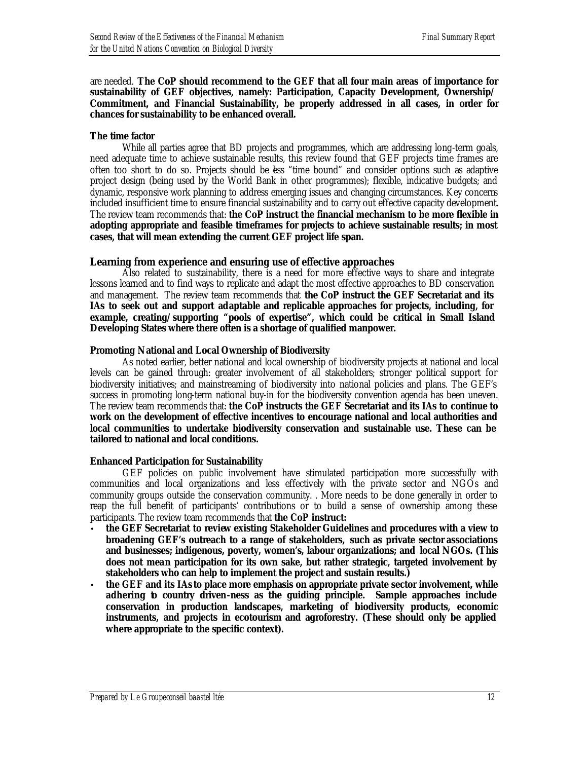are needed. **The CoP should recommend to the GEF that all four main areas of importance for sustainability of GEF objectives, namely: Participation, Capacity Development, Ownership/ Commitment, and Financial Sustainability, be properly addressed in all cases, in order for chances for sustainability to be enhanced overall.**

#### *The time factor*

While all parties agree that BD projects and programmes, which are addressing long-term goals, need adequate time to achieve sustainable results, this review found that GEF projects time frames are often too short to do so. Projects should be less "time bound" and consider options such as adaptive project design (being used by the World Bank in other programmes); flexible, indicative budgets; and dynamic, responsive work planning to address emerging issues and changing circumstances. Key concerns included insufficient time to ensure financial sustainability and to carry out effective capacity development. The review team recommends that: **the CoP instruct the financial mechanism to be more flexible in adopting appropriate and feasible timeframes for projects to achieve sustainable results; in most cases, that will mean extending the current GEF project life span.**

#### *Learning from experience and ensuring use of effective approaches*

Also related to sustainability, there is a need for more effective ways to share and integrate lessons learned and to find ways to replicate and adapt the most effective approaches to BD conservation and management. The review team recommends that **the CoP instruct the GEF Secretariat and its IAs to seek out and support adaptable and replicable approaches for projects, including, for example, creating/supporting "pools of expertise", which could be critical in Small Island Developing States where there often is a shortage of qualified manpower.**

#### *Promoting National and Local Ownership of Biodiversity*

As noted earlier, better national and local ownership of biodiversity projects at national and local levels can be gained through: greater involvement of all stakeholders; stronger political support for biodiversity initiatives; and mainstreaming of biodiversity into national policies and plans. The GEF's success in promoting long-term national buy-in for the biodiversity convention agenda has been uneven. The review team recommends that: **the CoP instructs the GEF Secretariat and its IAs to continue to work on the development of effective incentives to encourage national and local authorities and local communities to undertake biodiversity conservation and sustainable use. These can be tailored to national and local conditions.**

#### *Enhanced Participation for Sustainability*

GEF policies on public involvement have stimulated participation more successfully with communities and local organizations and less effectively with the private sector and NGOs and community groups outside the conservation community. . More needs to be done generally in order to reap the full benefit of participants' contributions or to build a sense of ownership among these participants. The review team recommends that **the CoP instruct:**

- **the GEF Secretariat to review existing Stakeholder Guidelines and procedures with a view to broadening GEF's outreach to a range of stakeholders, such as private sector associations and businesses; indigenous, poverty, women's, labour organizations; and local NGOs. (This does not mean participation for its own sake, but rather strategic, targeted involvement by stakeholders who can help to implement the project and sustain results.)**
- **the GEF and its IAs to place more emphasis on appropriate private sector involvement, while adhering to country driven-ness as the guiding principle. Sample approaches include conservation in production landscapes, marketing of biodiversity products, economic instruments, and projects in ecotourism and agroforestry. (These should only be applied where appropriate to the specific context).**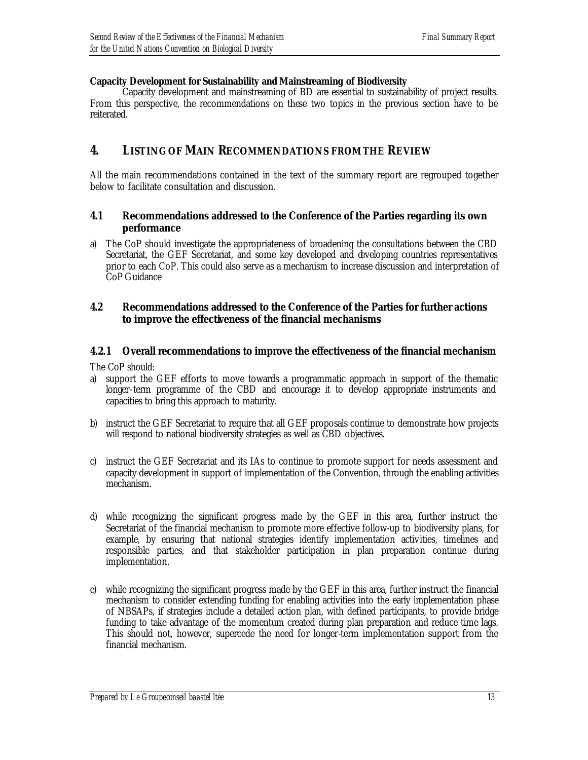## *Capacity Development for Sustainability and Mainstreaming of Biodiversity*

Capacity development and mainstreaming of BD are essential to sustainability of project results. From this perspective, the recommendations on these two topics in the previous section have to be reiterated.

## **4. LISTING OF MAIN RECOMMENDATIONS FROM THE REVIEW**

All the main recommendations contained in the text of the summary report are regrouped together below to facilitate consultation and discussion.

## *4.1 Recommendations addressed to the Conference of the Parties regarding its own performance*

a) The CoP should investigate the appropriateness of broadening the consultations between the CBD Secretariat, the GEF Secretariat, and some key developed and developing countries representatives prior to each CoP. This could also serve as a mechanism to increase discussion and interpretation of CoP Guidance

## *4.2 Recommendations addressed to the Conference of the Parties for further actions to improve the effectiveness of the financial mechanisms*

## **4.2.1 Overall recommendations to improve the effectiveness of the financial mechanism**

The CoP should:

- a) support the GEF efforts to move towards a programmatic approach in support of the thematic longer-term programme of the CBD and encourage it to develop appropriate instruments and capacities to bring this approach to maturity.
- b) instruct the GEF Secretariat to require that all GEF proposals continue to demonstrate how projects will respond to national biodiversity strategies as well as CBD objectives.
- c) instruct the GEF Secretariat and its IAs to continue to promote support for needs assessment and capacity development in support of implementation of the Convention, through the enabling activities mechanism.
- d) while recognizing the significant progress made by the GEF in this area, further instruct the Secretariat of the financial mechanism to promote more effective follow-up to biodiversity plans, for example, by ensuring that national strategies identify implementation activities, timelines and responsible parties, and that stakeholder participation in plan preparation continue during implementation.
- e) while recognizing the significant progress made by the GEF in this area, further instruct the financial mechanism to consider extending funding for enabling activities into the early implementation phase of NBSAPs, if strategies include a detailed action plan, with defined participants, to provide bridge funding to take advantage of the momentum created during plan preparation and reduce time lags. This should not, however, supercede the need for longer-term implementation support from the financial mechanism.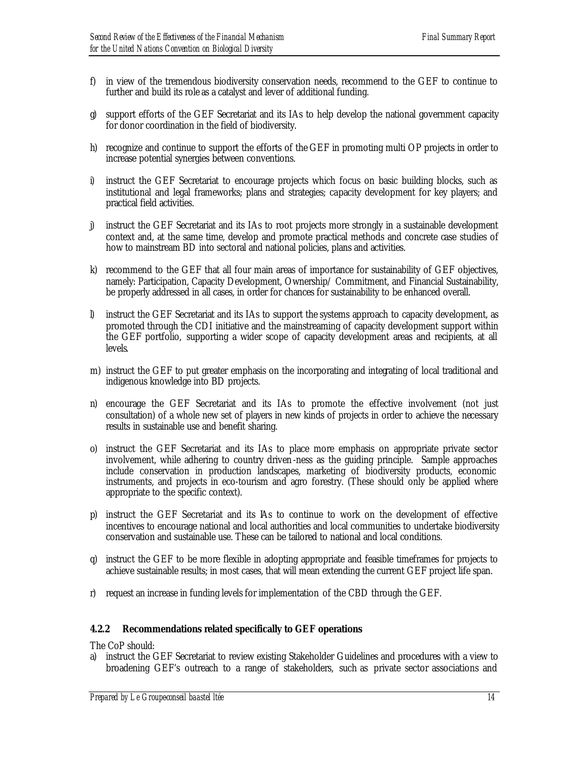- f) in view of the tremendous biodiversity conservation needs, recommend to the GEF to continue to further and build its role as a catalyst and lever of additional funding.
- g) support efforts of the GEF Secretariat and its IAs to help develop the national government capacity for donor coordination in the field of biodiversity.
- h) recognize and continue to support the efforts of the GEF in promoting multi OP projects in order to increase potential synergies between conventions.
- i) instruct the GEF Secretariat to encourage projects which focus on basic building blocks, such as institutional and legal frameworks; plans and strategies; capacity development for key players; and practical field activities.
- j) instruct the GEF Secretariat and its IAs to root projects more strongly in a sustainable development context and, at the same time, develop and promote practical methods and concrete case studies of how to mainstream BD into sectoral and national policies, plans and activities.
- k) recommend to the GEF that all four main areas of importance for sustainability of GEF objectives, namely: Participation, Capacity Development, Ownership/ Commitment, and Financial Sustainability, be properly addressed in all cases, in order for chances for sustainability to be enhanced overall.
- l) instruct the GEF Secretariat and its IAs to support the systems approach to capacity development, as promoted through the CDI initiative and the mainstreaming of capacity development support within the GEF portfolio, supporting a wider scope of capacity development areas and recipients, at all levels.
- m) instruct the GEF to put greater emphasis on the incorporating and integrating of local traditional and indigenous knowledge into BD projects.
- n) encourage the GEF Secretariat and its IAs to promote the effective involvement (not just consultation) of a whole new set of players in new kinds of projects in order to achieve the necessary results in sustainable use and benefit sharing.
- o) instruct the GEF Secretariat and its IAs to place more emphasis on appropriate private sector involvement, while adhering to country driven -ness as the guiding principle. Sample approaches include conservation in production landscapes, marketing of biodiversity products, economic instruments, and projects in eco-tourism and agro forestry. (These should only be applied where appropriate to the specific context).
- p) instruct the GEF Secretariat and its IAs to continue to work on the development of effective incentives to encourage national and local authorities and local communities to undertake biodiversity conservation and sustainable use. These can be tailored to national and local conditions.
- q) instruct the GEF to be more flexible in adopting appropriate and feasible timeframes for projects to achieve sustainable results; in most cases, that will mean extending the current GEF project life span.
- r) request an increase in funding levels for implementation of the CBD through the GEF.

#### **4.2.2 Recommendations related specifically to GEF operations**

The CoP should:

a) instruct the GEF Secretariat to review existing Stakeholder Guidelines and procedures with a view to broadening GEF's outreach to a range of stakeholders, such as private sector associations and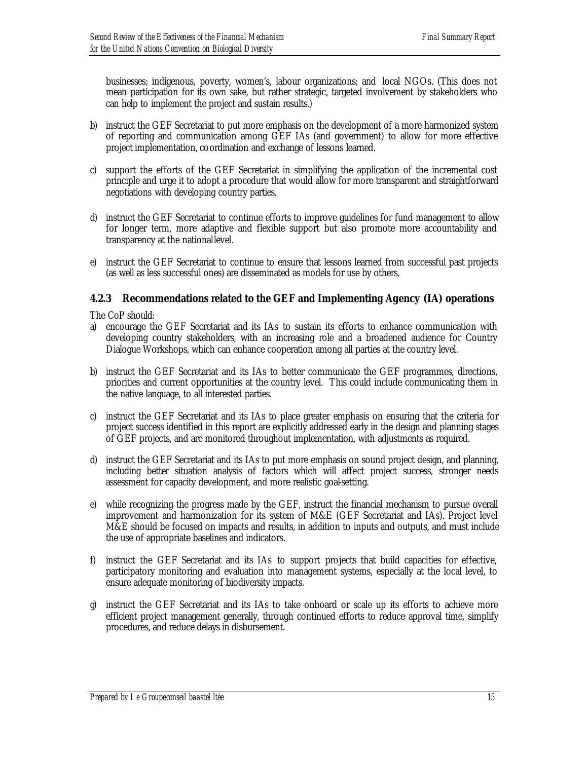businesses; indigenous, poverty, women's, labour organizations; and local NGOs. (This does not mean participation for its own sake, but rather strategic, targeted involvement by stakeholders who can help to implement the project and sustain results.)

- b) instruct the GEF Secretariat to put more emphasis on the development of a more harmonized system of reporting and communication among GEF IAs (and government) to allow for more effective project implementation, coordination and exchange of lessons learned.
- c) support the efforts of the GEF Secretariat in simplifying the application of the incremental cost principle and urge it to adopt a procedure that would allow for more transparent and straightforward negotiations with developing country parties.
- d) instruct the GEF Secretariat to continue efforts to improve guidelines for fund management to allow for longer term, more adaptive and flexible support but also promote more accountability and transparency at the national level.
- e) instruct the GEF Secretariat to continue to ensure that lessons learned from successful past projects (as well as less successful ones) are disseminated as models for use by others.

## **4.2.3 Recommendations related to the GEF and Implementing Agency (IA) operations**

The CoP should:

- a) encourage the GEF Secretariat and its IAs to sustain its efforts to enhance communication with developing country stakeholders, with an increasing role and a broadened audience for Country Dialogue Workshops, which can enhance cooperation among all parties at the country level.
- b) instruct the GEF Secretariat and its IAs to better communicate the GEF programmes, directions, priorities and current opportunities at the country level. This could include communicating them in the native language, to all interested parties.
- c) instruct the GEF Secretariat and its IAs to place greater emphasis on ensuring that the criteria for project success identified in this report are explicitly addressed early in the design and planning stages of GEF projects, and are monitored throughout implementation, with adjustments as required.
- d) instruct the GEF Secretariat and its IAs to put more emphasis on sound project design, and planning, including better situation analysis of factors which will affect project success, stronger needs assessment for capacity development, and more realistic goal-setting.
- e) while recognizing the progress made by the GEF, instruct the financial mechanism to pursue overall improvement and harmonization for its system of M&E (GEF Secretariat and IAs). Project level M&E should be focused on impacts and results, in addition to inputs and outputs, and must include the use of appropriate baselines and indicators.
- f) instruct the GEF Secretariat and its IAs to support projects that build capacities for effective, participatory monitoring and evaluation into management systems, especially at the local level, to ensure adequate monitoring of biodiversity impacts.
- g) instruct the GEF Secretariat and its IAs to take onboard or scale up its efforts to achieve more efficient project management generally, through continued efforts to reduce approval time, simplify procedures, and reduce delays in disbursement.